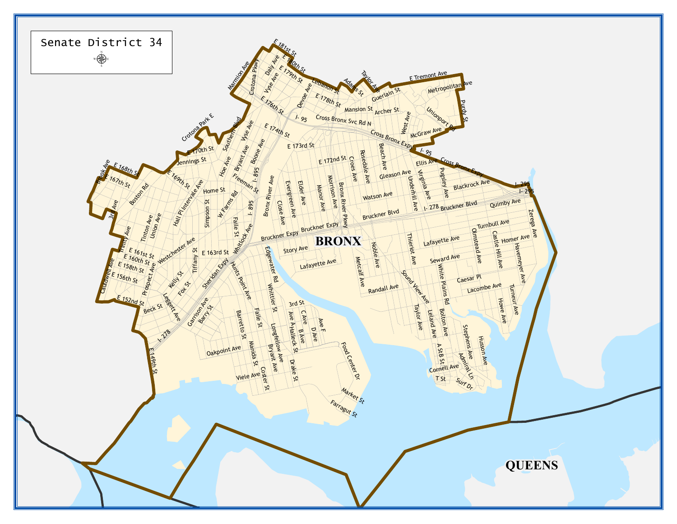